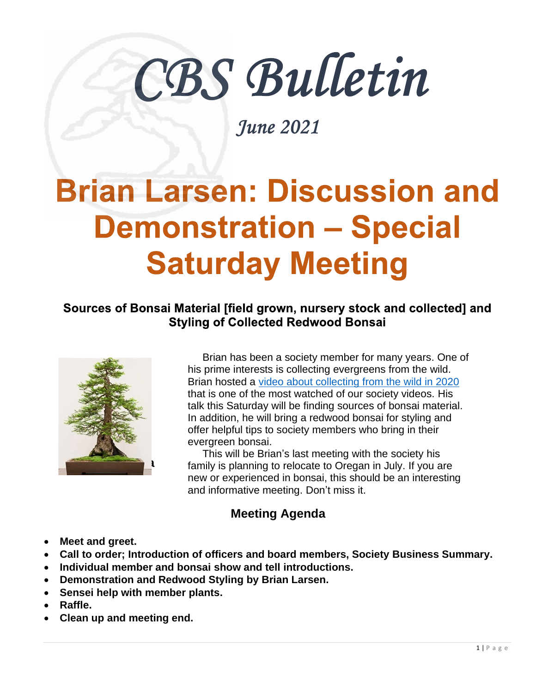# CBS Bulletin

June 2021

# **Brian Larsen: Discussion and Demonstration - Special Saturday Meeting**

#### Sources of Bonsai Material [field grown, nursery stock and collected] and **Styling of Collected Redwood Bonsai**



 Brian has been a society member for many years. One of his prime interests is collecting evergreens from the wild. Brian hosted a [video about collecting from the wild in 2020](https://youtu.be/pexTkxWIoS8) that is one of the most watched of our society videos. His talk this Saturday will be finding sources of bonsai material. In addition, he will bring a redwood bonsai for styling and offer helpful tips to society members who bring in their evergreen bonsai.

 This will be Brian's last meeting with the society his family is planning to relocate to Oregan in July. If you are new or experienced in bonsai, this should be an interesting and informative meeting. Don't miss it.

#### **Meeting Agenda**

- **Meet and greet.**
- **Call to order; Introduction of officers and board members, Society Business Summary.**
- **Individual member and bonsai show and tell introductions.**
- **Demonstration and Redwood Styling by Brian Larsen.**
- **Sensei help with member plants.**
- **Raffle.**
- **Clean up and meeting end.**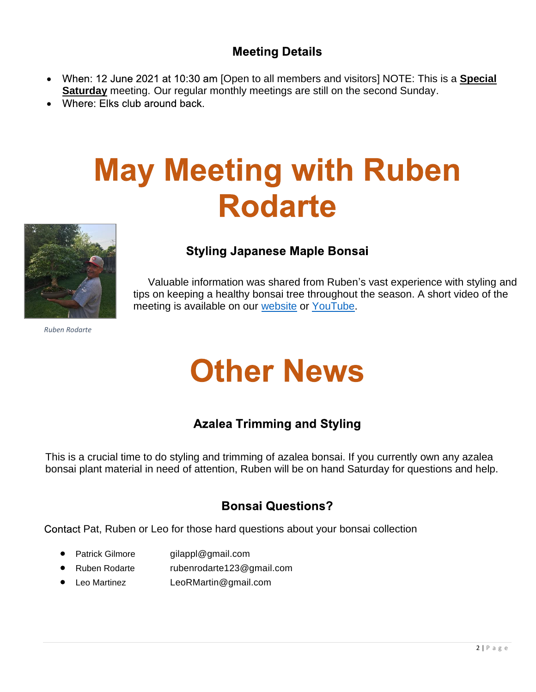#### **Meeting Details**

- When: 12 June 2021 at 10:30 am [Open to all members and visitors] NOTE: This is a **Special**  $\bullet$ **Saturday** meeting. Our regular monthly meetings are still on the second Sunday.
- Where: Elks club around back.

## **May Meeting with Ruben Rodarte**



#### **Styling Japanese Maple Bonsai**

 Valuable information was shared from Ruben's vast experience with styling and tips on keeping a healthy bonsai tree throughout the season. A short video of the meeting is available on our [website](https://www.chicobonsaisociety.org/videos) or [YouTube.](https://youtu.be/HE2J1Pbdb98)

*Ruben Rodarte*

### **Other News**

#### **Azalea Trimming and Styling**

This is a crucial time to do styling and trimming of azalea bonsai. If you currently own any azalea bonsai plant material in need of attention, Ruben will be on hand Saturday for questions and help.

#### **Bonsai Questions?**

Contact Pat, Ruben or Leo for those hard questions about your bonsai collection

- Patrick Gilmore gilappl@gmail.com
- Ruben Rodarte rubenrodarte123@gmail.com
- Leo Martinez LeoRMartin@gmail.com